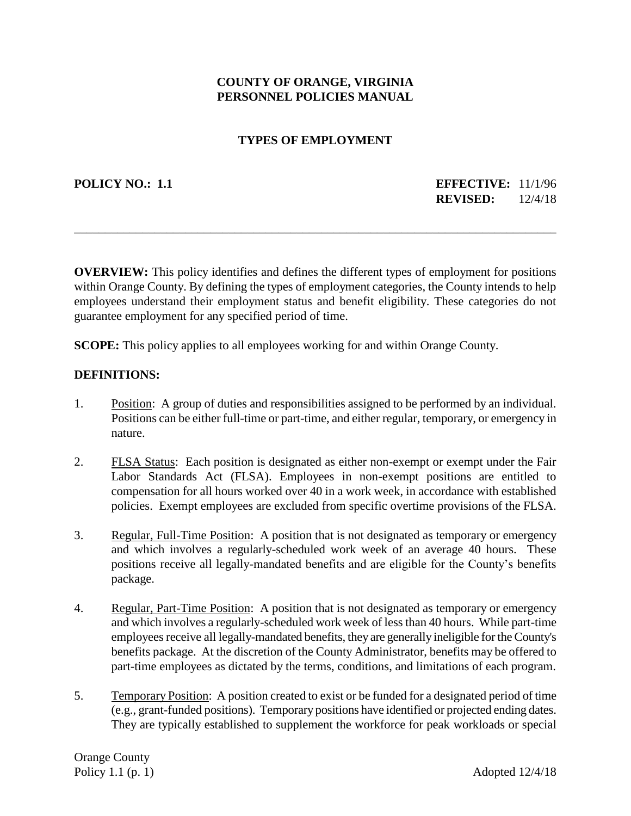# **COUNTY OF ORANGE, VIRGINIA PERSONNEL POLICIES MANUAL**

## **TYPES OF EMPLOYMENT**

## **POLICY NO.: 1.1 EFFECTIVE:** 11/1/96 **REVISED:** 12/4/18

**OVERVIEW:** This policy identifies and defines the different types of employment for positions within Orange County. By defining the types of employment categories, the County intends to help employees understand their employment status and benefit eligibility. These categories do not guarantee employment for any specified period of time.

\_\_\_\_\_\_\_\_\_\_\_\_\_\_\_\_\_\_\_\_\_\_\_\_\_\_\_\_\_\_\_\_\_\_\_\_\_\_\_\_\_\_\_\_\_\_\_\_\_\_\_\_\_\_\_\_\_\_\_\_\_\_\_\_\_\_\_\_\_\_\_\_\_\_\_\_\_\_

**SCOPE:** This policy applies to all employees working for and within Orange County.

#### **DEFINITIONS:**

- 1. Position: A group of duties and responsibilities assigned to be performed by an individual. Positions can be either full-time or part-time, and either regular, temporary, or emergency in nature.
- 2. FLSA Status: Each position is designated as either non-exempt or exempt under the Fair Labor Standards Act (FLSA). Employees in non-exempt positions are entitled to compensation for all hours worked over 40 in a work week, in accordance with established policies. Exempt employees are excluded from specific overtime provisions of the FLSA.
- 3. Regular, Full-Time Position: A position that is not designated as temporary or emergency and which involves a regularly-scheduled work week of an average 40 hours. These positions receive all legally-mandated benefits and are eligible for the County's benefits package.
- 4. Regular, Part-Time Position: A position that is not designated as temporary or emergency and which involves a regularly-scheduled work week of less than 40 hours. While part-time employees receive all legally-mandated benefits, they are generally ineligible for the County's benefits package. At the discretion of the County Administrator, benefits may be offered to part-time employees as dictated by the terms, conditions, and limitations of each program.
- 5. Temporary Position: A position created to exist or be funded for a designated period of time (e.g., grant-funded positions). Temporary positions have identified or projected ending dates. They are typically established to supplement the workforce for peak workloads or special

Orange County Policy 1.1 (p. 1)  $\Delta$  Adopted 12/4/18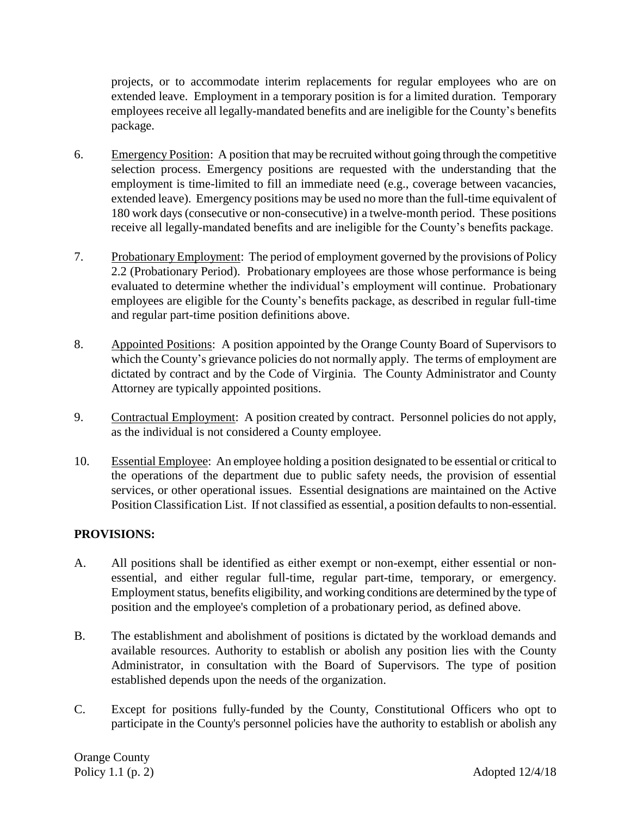projects, or to accommodate interim replacements for regular employees who are on extended leave. Employment in a temporary position is for a limited duration. Temporary employees receive all legally-mandated benefits and are ineligible for the County's benefits package.

- 6. Emergency Position: A position that may be recruited without going through the competitive selection process. Emergency positions are requested with the understanding that the employment is time-limited to fill an immediate need (e.g., coverage between vacancies, extended leave). Emergency positions may be used no more than the full-time equivalent of 180 work days (consecutive or non-consecutive) in a twelve-month period. These positions receive all legally-mandated benefits and are ineligible for the County's benefits package.
- 7. Probationary Employment: The period of employment governed by the provisions of Policy 2.2 (Probationary Period). Probationary employees are those whose performance is being evaluated to determine whether the individual's employment will continue. Probationary employees are eligible for the County's benefits package, as described in regular full-time and regular part-time position definitions above.
- 8. Appointed Positions: A position appointed by the Orange County Board of Supervisors to which the County's grievance policies do not normally apply. The terms of employment are dictated by contract and by the Code of Virginia. The County Administrator and County Attorney are typically appointed positions.
- 9. Contractual Employment: A position created by contract. Personnel policies do not apply, as the individual is not considered a County employee.
- 10. Essential Employee: An employee holding a position designated to be essential or critical to the operations of the department due to public safety needs, the provision of essential services, or other operational issues. Essential designations are maintained on the Active Position Classification List. If not classified as essential, a position defaults to non-essential.

## **PROVISIONS:**

- A. All positions shall be identified as either exempt or non-exempt, either essential or nonessential, and either regular full-time, regular part-time, temporary, or emergency. Employment status, benefits eligibility, and working conditions are determined by the type of position and the employee's completion of a probationary period, as defined above.
- B. The establishment and abolishment of positions is dictated by the workload demands and available resources. Authority to establish or abolish any position lies with the County Administrator, in consultation with the Board of Supervisors. The type of position established depends upon the needs of the organization.
- C. Except for positions fully-funded by the County, Constitutional Officers who opt to participate in the County's personnel policies have the authority to establish or abolish any

Orange County